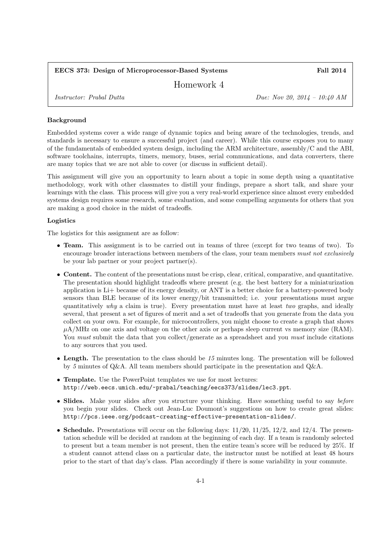# EECS 373: Design of Microprocessor-Based Systems Fall 2014

Homework 4

Instructor: Prabal Dutta Due: Nov 20, 2014 – 10:40 AM

### Background

Embedded systems cover a wide range of dynamic topics and being aware of the technologies, trends, and standards is necessary to ensure a successful project (and career). While this course exposes you to many of the fundamentals of embedded system design, including the ARM architecture, assembly/C and the ABI, software toolchains, interrupts, timers, memory, buses, serial communications, and data converters, there are many topics that we are not able to cover (or discuss in sufficient detail).

This assignment will give you an opportunity to learn about a topic in some depth using a quantitative methodology, work with other classmates to distill your findings, prepare a short talk, and share your learnings with the class. This process will give you a very real-world experience since almost every embedded systems design requires some research, some evaluation, and some compelling arguments for others that you are making a good choice in the midst of tradeoffs.

#### Logistics

The logistics for this assignment are as follow:

- **Team.** This assignment is to be carried out in teams of three (except for two teams of two). To encourage broader interactions between members of the class, your team members must not exclusively be your lab partner or your project partner(s).
- Content. The content of the presentations must be crisp, clear, critical, comparative, and quantitative. The presentation should highlight tradeoffs where present (e.g. the best battery for a miniaturization application is Li+ because of its energy density, or ANT is a better choice for a battery-powered body sensors than BLE because of its lower energy/bit transmitted; i.e. your presentations must argue quantitatively why a claim is true). Every presentation must have at least two graphs, and ideally several, that present a set of figures of merit and a set of tradeoffs that you generate from the data you collect on your own. For example, for microcontrollers, you might choose to create a graph that shows  $\mu$ A/MHz on one axis and voltage on the other axis or perhaps sleep current vs memory size (RAM). You must submit the data that you collect/generate as a spreadsheet and you must include citations to any sources that you used.
- Length. The presentation to the class should be 15 minutes long. The presentation will be followed by 5 minutes of Q&A. All team members should participate in the presentation and Q&A.
- Template. Use the PowerPoint templates we use for most lectures: http://web.eecs.umich.edu/~prabal/teaching/eecs373/slides/lec3.ppt.
- Slides. Make your slides after you structure your thinking. Have something useful to say before you begin your slides. Check out Jean-Luc Doumont's suggestions on how to create great slides: http://pcs.ieee.org/podcast-creating-effective-presentation-slides/.
- Schedule. Presentations will occur on the following days:  $11/20$ ,  $11/25$ ,  $12/2$ , and  $12/4$ . The presentation schedule will be decided at random at the beginning of each day. If a team is randomly selected to present but a team member is not present, then the entire team's score will be reduced by 25%. If a student cannot attend class on a particular date, the instructor must be notified at least 48 hours prior to the start of that day's class. Plan accordingly if there is some variability in your commute.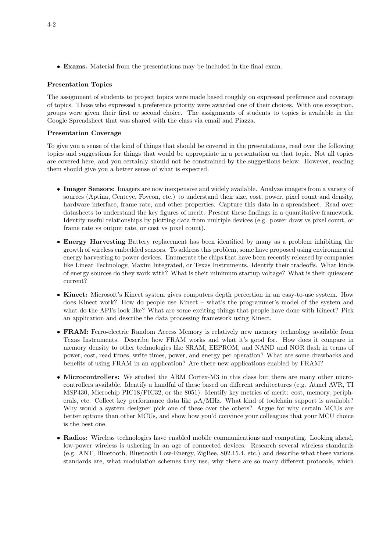• Exams. Material from the presentations may be included in the final exam.

# Presentation Topics

The assignment of students to project topics were made based roughly on expressed preference and coverage of topics. Those who expressed a preference priority were awarded one of their choices. With one exception, groups were given their first or second choice. The assignments of students to topics is available in the Google Spreadsheet that was shared with the class via email and Piazza.

### Presentation Coverage

To give you a sense of the kind of things that should be covered in the presentations, read over the following topics and suggestions for things that would be appropriate in a presentation on that topic. Not all topics are covered here, and you certainly should not be constrained by the suggestions below. However, reading them should give you a better sense of what is expected.

- Imager Sensors: Imagers are now inexpensive and widely available. Analyze imagers from a variety of sources (Aptina, Centeye, Foveon, etc.) to understand their size, cost, power, pixel count and density, hardware interface, frame rate, and other properties. Capture this data in a spreadsheet. Read over datasheets to understand the key figures of merit. Present these findings in a quantitative framework. Identify useful relationships by plotting data from multiple devices (e.g. power draw vs pixel count, or frame rate vs output rate, or cost vs pixel count).
- Energy Harvesting Battery replacement has been identified by many as a problem inhibiting the growth of wireless embedded sensors. To address this problem, some have proposed using environmental energy harvesting to power devices. Enumerate the chips that have been recently released by companies like Linear Technology, Maxim Integrated, or Texas Instruments. Identify their tradeoffs. What kinds of energy sources do they work with? What is their minimum startup voltage? What is their quiescent current?
- Kinect: Microsoft's Kinect system gives computers depth percertion in an easy-to-use system. How does Kinect work? How do people use Kinect – what's the programmer's model of the system and what do the API's look like? What are some exciting things that people have done with Kinect? Pick an application and describe the data processing framework using Kinect.
- FRAM: Ferro-electric Random Access Memory is relatively new memory technology available from Texas Instruments. Describe how FRAM works and what it's good for. How does it compare in memory density to other technologies like SRAM, EEPROM, and NAND and NOR flash in terms of power, cost, read times, write times, power, and energy per operation? What are some drawbacks and benefits of using FRAM in an application? Are there new applications enabled by FRAM?
- Microcontrollers: We studied the ARM Cortex-M3 in this class but there are many other microcontrollers available. Identify a handful of these based on different architectures (e.g. Atmel AVR, TI MSP430, Microchip PIC18/PIC32, or the 8051). Identify key metrics of merit: cost, memory, peripherals, etc. Collect key performance data like  $\mu A/MHz$ . What kind of toolchain support is available? Why would a system designer pick one of these over the others? Argue for why certain MCUs are better options than other MCUs, and show how you'd convince your colleagues that your MCU choice is the best one.
- Radios: Wireless technologies have enabled mobile communications and computing. Looking ahead, low-power wireless is ushering in an age of connected devices. Research several wireless standards (e.g. ANT, Bluetooth, Bluetooth Low-Energy, ZigBee, 802.15.4, etc.) and describe what these various standards are, what modulation schemes they use, why there are so many different protocols, which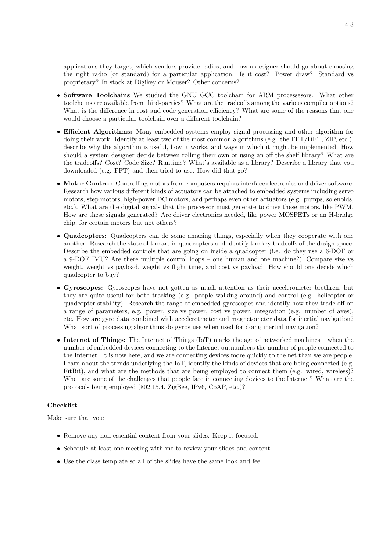applications they target, which vendors provide radios, and how a designer should go about choosing the right radio (or standard) for a particular application. Is it cost? Power draw? Standard vs proprietary? In stock at Digikey or Mouser? Other concerns?

- Software Toolchains We studied the GNU GCC toolchain for ARM processesors. What other toolchains are available from third-parties? What are the tradeoffs among the various compiler options? What is the difference in cost and code generation efficiency? What are some of the reasons that one would choose a particular toolchain over a different toolchain?
- Efficient Algorithms: Many embedded systems employ signal processing and other algorithm for doing their work. Identify at least two of the most common algorithms (e.g. the FFT/DFT, ZIP, etc.), describe why the algorithm is useful, how it works, and ways in which it might be implemented. How should a system designer decide between rolling their own or using an off the shelf library? What are the tradeoffs? Cost? Code Size? Runtime? What's available as a library? Describe a library that you downloaded (e.g. FFT) and then tried to use. How did that go?
- Motor Control: Controlling motors from computers requires interface electronics and driver software. Research how various different kinds of actuators can be attached to embedded systems including servo motors, step motors, high-power DC motors, and perhaps even other actuators (e.g. pumps, solenoids, etc.). What are the digital signals that the processor must generate to drive these motors, like PWM. How are these signals generated? Are driver electronics needed, like power MOSFETs or an H-bridge chip, for certain motors but not others?
- Quadcopters: Quadcopters can do some amazing things, especially when they cooperate with one another. Research the state of the art in quadcopters and identify the key tradeoffs of the design space. Describe the embedded controls that are going on inside a quadcopter (i.e. do they use a 6-DOF or a 9-DOF IMU? Are there multiple control loops – one human and one machine?) Compare size vs weight, weight vs payload, weight vs flight time, and cost vs payload. How should one decide which quadcopter to buy?
- Gyroscopes: Gyroscopes have not gotten as much attention as their accelerometer brethren, but they are quite useful for both tracking (e.g. people walking around) and control (e.g. helicopter or quadcopter stability). Research the range of embedded gyroscopes and identify how they trade off on a range of parameters, e.g. power, size vs power, cost vs power, integration (e.g. number of axes), etc. How are gyro data combined with accelerotmeter and magnetometer data for inertial navigation? What sort of processing algorithms do gyros use when used for doing inertial navigation?
- Internet of Things: The Internet of Things (IoT) marks the age of networked machines when the number of embedded devices connecting to the Internet outnumbers the number of people connected to the Internet. It is now here, and we are connecting devices more quickly to the net than we are people. Learn about the trends underlying the IoT, identify the kinds of devices that are being connected (e.g. FitBit), and what are the methods that are being employed to connect them (e.g. wired, wireless)? What are some of the challenges that people face in connecting devices to the Internet? What are the protocols being employed (802.15.4, ZigBee, IPv6, CoAP, etc.)?

# Checklist

Make sure that you:

- Remove any non-essential content from your slides. Keep it focused.
- Schedule at least one meeting with me to review your slides and content.
- Use the class template so all of the slides have the same look and feel.